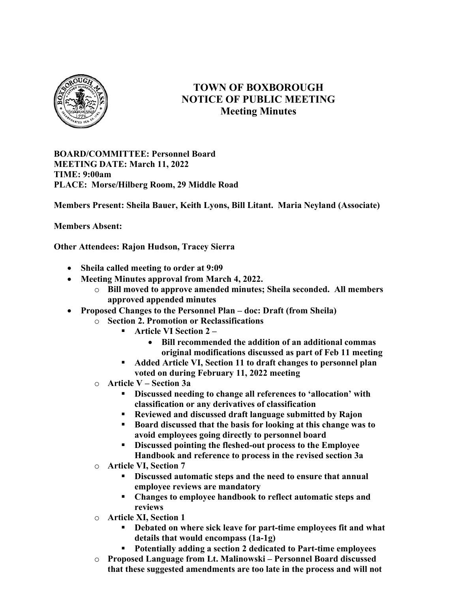

## TOWN OF BOXBOROUGH NOTICE OF PUBLIC MEETING Meeting Minutes

BOARD/COMMITTEE: Personnel Board MEETING DATE: March 11, 2022 TIME: 9:00am PLACE: Morse/Hilberg Room, 29 Middle Road

Members Present: Sheila Bauer, Keith Lyons, Bill Litant. Maria Neyland (Associate)

Members Absent:

Other Attendees: Rajon Hudson, Tracey Sierra

- Sheila called meeting to order at 9:09
- Meeting Minutes approval from March 4, 2022.
	- $\circ$  Bill moved to approve amended minutes; Sheila seconded. All members approved appended minutes
- Proposed Changes to the Personnel Plan doc: Draft (from Sheila)
	- o Section 2. Promotion or Reclassifications
		- Article VI Section 2
			- Bill recommended the addition of an additional commas original modifications discussed as part of Feb 11 meeting
		- Added Article VI, Section 11 to draft changes to personnel plan voted on during February 11, 2022 meeting
	- $\circ$  Article V Section 3a
		- Discussed needing to change all references to 'allocation' with classification or any derivatives of classification
		- Reviewed and discussed draft language submitted by Rajon
		- Board discussed that the basis for looking at this change was to avoid employees going directly to personnel board
		- Discussed pointing the fleshed-out process to the Employee Handbook and reference to process in the revised section 3a
	- o Article VI, Section 7
		- Discussed automatic steps and the need to ensure that annual employee reviews are mandatory
		- Changes to employee handbook to reflect automatic steps and reviews
	- o Article XI, Section 1
		- Debated on where sick leave for part-time employees fit and what details that would encompass (1a-1g)
		- Potentially adding a section 2 dedicated to Part-time employees
	- o Proposed Language from Lt. Malinowski Personnel Board discussed that these suggested amendments are too late in the process and will not